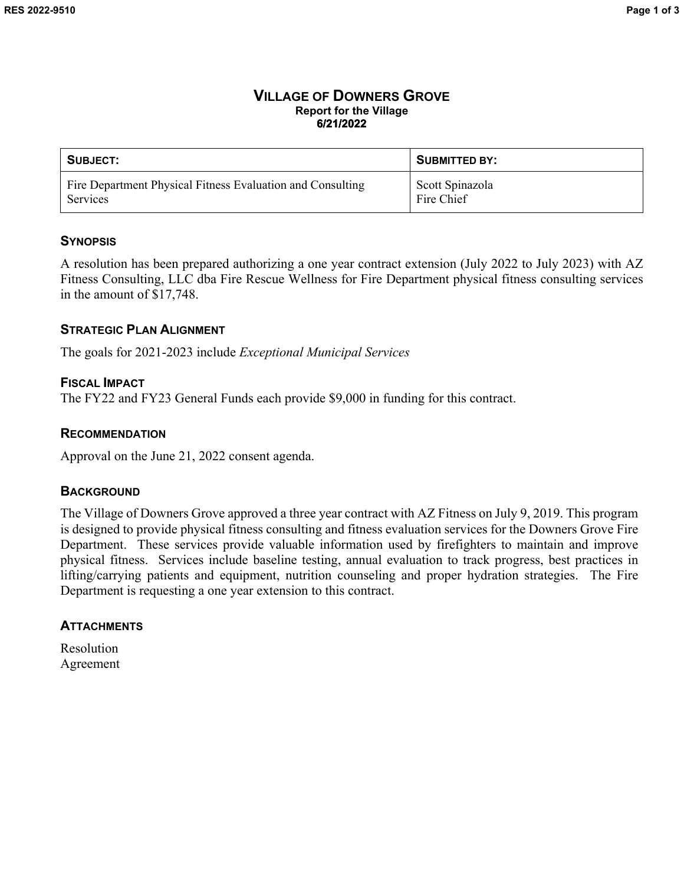#### **VILLAGE OF DOWNERS GROVE Report for the Village 6/21/2022**

| SUBJECT:                                                   | <b>SUBMITTED BY:</b> |
|------------------------------------------------------------|----------------------|
| Fire Department Physical Fitness Evaluation and Consulting | Scott Spinazola      |
| Services                                                   | Fire Chief           |

## **SYNOPSIS**

A resolution has been prepared authorizing a one year contract extension (July 2022 to July 2023) with AZ Fitness Consulting, LLC dba Fire Rescue Wellness for Fire Department physical fitness consulting services in the amount of \$17,748.

## **STRATEGIC PLAN ALIGNMENT**

The goals for 2021-2023 include *Exceptional Municipal Services*

# **FISCAL IMPACT**

The FY22 and FY23 General Funds each provide \$9,000 in funding for this contract.

## **RECOMMENDATION**

Approval on the June 21, 2022 consent agenda.

### **BACKGROUND**

The Village of Downers Grove approved a three year contract with AZ Fitness on July 9, 2019. This program is designed to provide physical fitness consulting and fitness evaluation services for the Downers Grove Fire Department. These services provide valuable information used by firefighters to maintain and improve physical fitness. Services include baseline testing, annual evaluation to track progress, best practices in lifting/carrying patients and equipment, nutrition counseling and proper hydration strategies. The Fire Department is requesting a one year extension to this contract.

# **ATTACHMENTS**

Resolution Agreement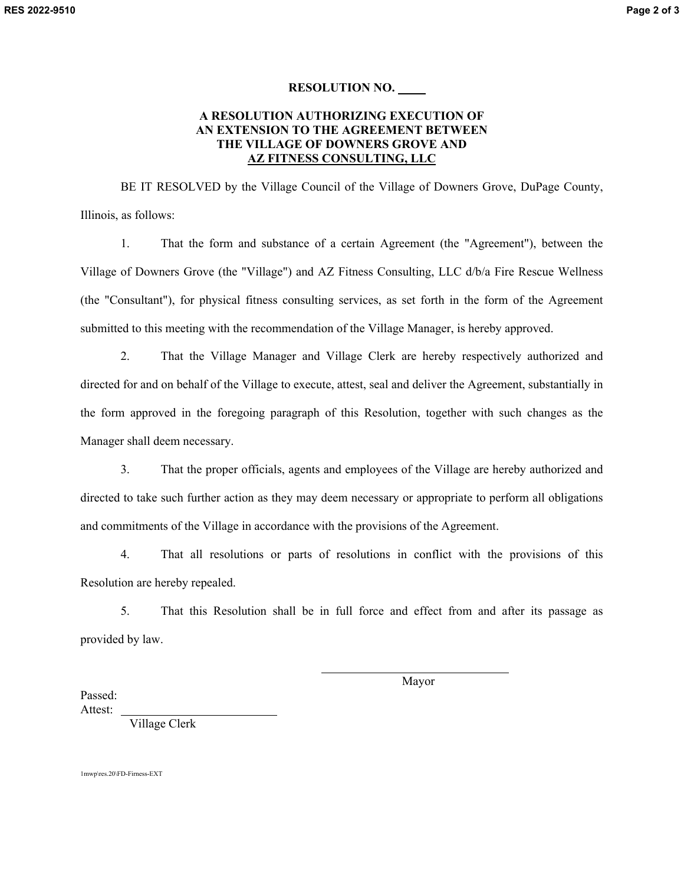#### **RESOLUTION NO.**

#### **A RESOLUTION AUTHORIZING EXECUTION OF AN EXTENSION TO THE AGREEMENT BETWEEN THE VILLAGE OF DOWNERS GROVE AND AZ FITNESS CONSULTING, LLC**

BE IT RESOLVED by the Village Council of the Village of Downers Grove, DuPage County, Illinois, as follows:

1. That the form and substance of a certain Agreement (the "Agreement"), between the Village of Downers Grove (the "Village") and AZ Fitness Consulting, LLC d/b/a Fire Rescue Wellness (the "Consultant"), for physical fitness consulting services, as set forth in the form of the Agreement submitted to this meeting with the recommendation of the Village Manager, is hereby approved.

2. That the Village Manager and Village Clerk are hereby respectively authorized and directed for and on behalf of the Village to execute, attest, seal and deliver the Agreement, substantially in the form approved in the foregoing paragraph of this Resolution, together with such changes as the Manager shall deem necessary.

3. That the proper officials, agents and employees of the Village are hereby authorized and directed to take such further action as they may deem necessary or appropriate to perform all obligations and commitments of the Village in accordance with the provisions of the Agreement.

4. That all resolutions or parts of resolutions in conflict with the provisions of this Resolution are hereby repealed.

5. That this Resolution shall be in full force and effect from and after its passage as provided by law.

 $\overline{\phantom{0}}$ 

Mayor

Passed: Attest:

Village Clerk

1mwp\res.20\FD-Firness-EXT